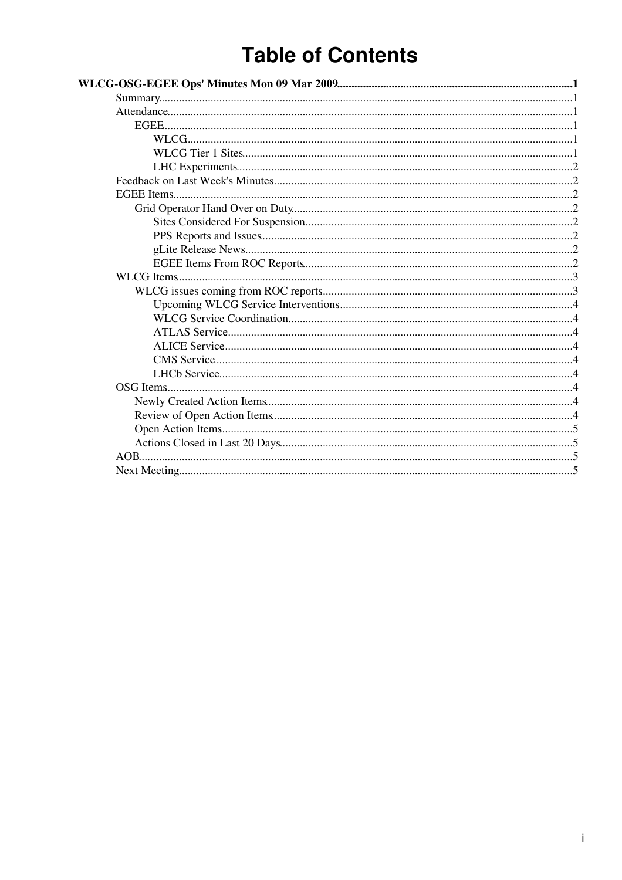# **Table of Contents**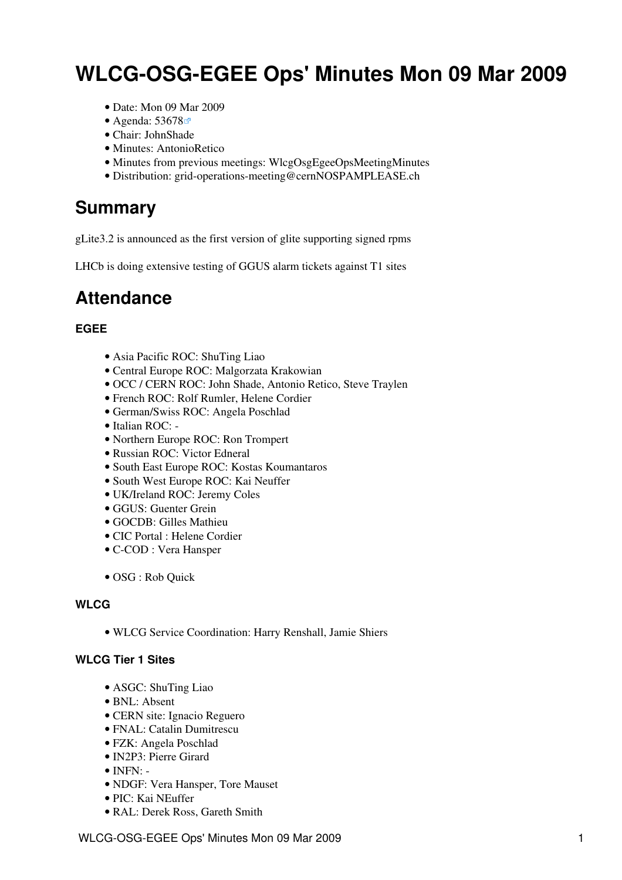# <span id="page-1-0"></span>**WLCG-OSG-EGEE Ops' Minutes Mon 09 Mar 2009**

- Date: Mon 09 Mar 2009
- Agenda: [53678](http://indico.cern.ch/conferenceDisplay.py?confId=53678)
- Chair: [JohnShade](https://twiki.cern.ch/twiki/bin/view/Main/JohnShade)
- Minutes: [AntonioRetico](https://twiki.cern.ch/twiki/bin/view/Main/AntonioRetico)
- Minutes from previous meetings: [WlcgOsgEgeeOpsMeetingMinutes](https://twiki.cern.ch/twiki/bin/view/EGEE/WlcgOsgEgeeOpsMeetingMinutes)
- Distribution: [grid-operations-meeting@cernNOSPAMPLEASE.ch](mailto:grid-operations-meeting@cernNOSPAMPLEASE.ch)

### <span id="page-1-1"></span>**Summary**

gLite3.2 is announced as the first version of glite supporting signed rpms

LHCb is doing extensive testing of GGUS alarm tickets against T1 sites

### <span id="page-1-2"></span>**Attendance**

#### <span id="page-1-3"></span>**EGEE**

- Asia Pacific ROC: ShuTing Liao
- Central Europe ROC: Malgorzata Krakowian
- OCC / CERN ROC: John Shade, Antonio Retico, Steve Traylen
- French ROC: Rolf Rumler, Helene Cordier
- German/Swiss ROC: Angela Poschlad
- Italian ROC: -
- Northern Europe ROC: Ron Trompert
- Russian ROC: Victor Edneral
- South East Europe ROC: Kostas Koumantaros
- South West Europe ROC: Kai Neuffer
- UK/Ireland ROC: Jeremy Coles
- GGUS: Guenter Grein
- GOCDB: Gilles Mathieu
- CIC Portal : Helene Cordier
- C-COD : Vera Hansper
- [OSG](https://twiki.cern.ch/twiki/bin/view/EGEE/OSG) : Rob Quick

#### <span id="page-1-4"></span>**WLCG**

• WLCG Service Coordination: Harry Renshall, Jamie Shiers

#### <span id="page-1-5"></span>**WLCG Tier 1 Sites**

- ASGC: ShuTing Liao
- BNL: Absent
- CERN site: Ignacio Reguero
- FNAL: Catalin Dumitrescu
- FZK: Angela Poschlad
- IN2P3: Pierre Girard
- $\bullet$  INFN: -
- [NDGF:](https://twiki.cern.ch/twiki/bin/view/EGEE/NDGF) Vera Hansper, Tore Mauset
- PIC: Kai NEuffer
- RAL: Derek Ross, Gareth Smith

WLCG-OSG-EGEE Ops' Minutes Mon 09 Mar 2009 11 1 1 2009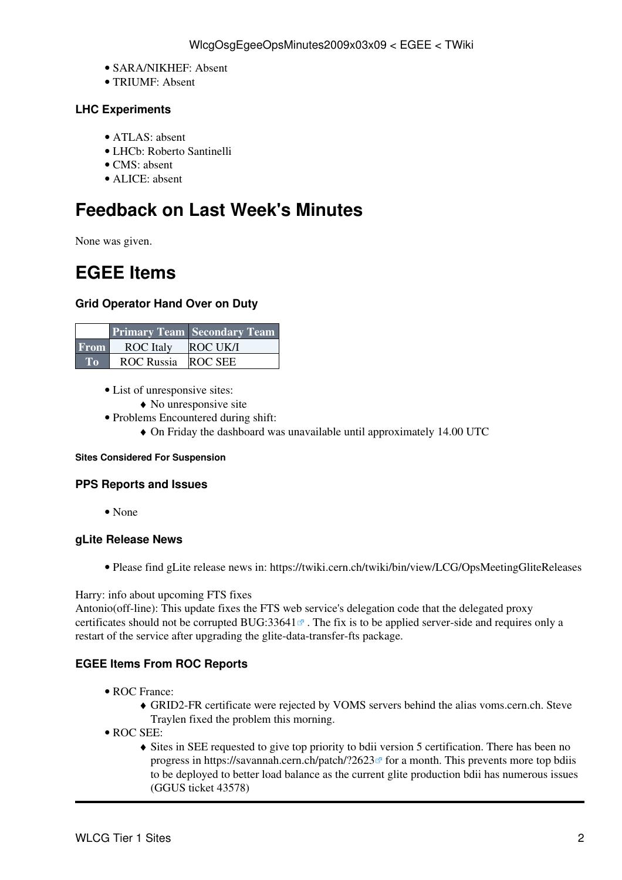- SARA/NIKHEF: Absent
- TRIUMF: Absent

#### <span id="page-2-0"></span>**LHC Experiments**

- ATLAS: absent
- LHCb: Roberto Santinelli
- CMS: absent
- ALICE: absent

## <span id="page-2-1"></span>**Feedback on Last Week's Minutes**

None was given.

### <span id="page-2-2"></span>**EGEE Items**

#### <span id="page-2-3"></span>**Grid Operator Hand Over on Duty**

|             |                  | <b>Primary Team   Secondary Team  </b> |
|-------------|------------------|----------------------------------------|
| <b>From</b> | <b>ROC</b> Italy | <b>ROC UK/I</b>                        |
| To          | ROC Russia       | <b>ROC SEE</b>                         |

- List of unresponsive sites:
	- ♦ No unresponsive site
- Problems Encountered during shift:
	- ♦ On Friday the dashboard was unavailable until approximately 14.00 UTC

#### <span id="page-2-4"></span>**Sites Considered For Suspension**

#### <span id="page-2-5"></span>**PPS Reports and Issues**

• None

#### <span id="page-2-6"></span>**gLite Release News**

• Please find gLite release news in:<https://twiki.cern.ch/twiki/bin/view/LCG/OpsMeetingGliteReleases>

#### Harry: info about upcoming [FTS](https://twiki.cern.ch/twiki/bin/view/EGEE/FTS) fixes

Antonio(off-line): This update fixes the [FTS](https://twiki.cern.ch/twiki/bin/view/EGEE/FTS) web service's delegation code that the delegated proxy certificates should not be corrupted [BUG:33641](https://savannah.cern.ch/bugs/?33641) $\sigma$ . The fix is to be applied server-side and requires only a restart of the service after upgrading the glite-data-transfer-fts package.

#### <span id="page-2-7"></span>**EGEE Items From ROC Reports**

- ROC France:
	- GRID2-FR certificate were rejected by VOMS servers behind the alias voms.cern.ch. Steve ♦ Traylen fixed the problem this morning.
- ROC SEE:
	- Sites in SEE requested to give top priority to bdii version 5 certification. There has been no ♦ progress in https://savannah.cern.ch/patch/?2623<sup>®</sup> for a month. This prevents more top bdiis to be deployed to better load balance as the current glite production bdii has numerous issues (GGUS ticket 43578)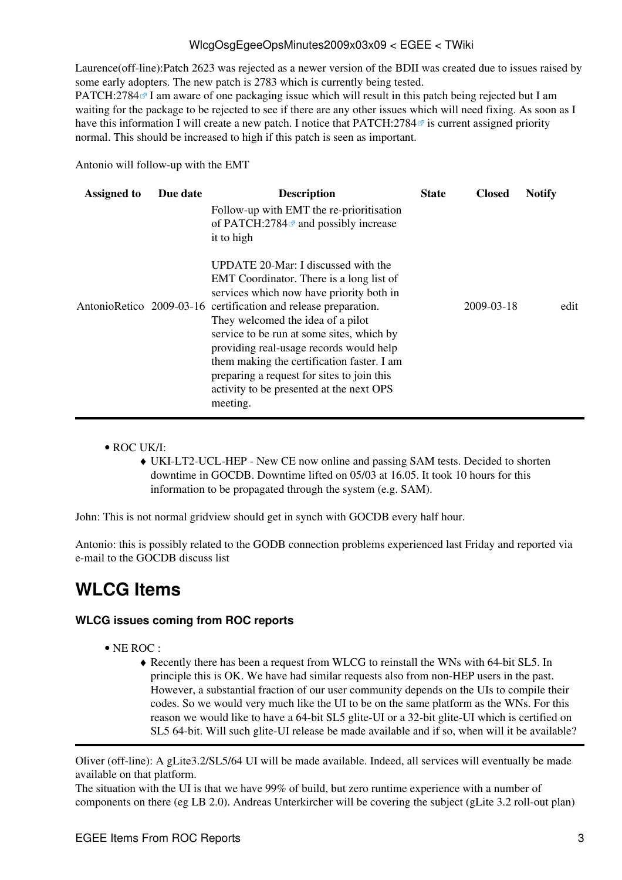#### WlcgOsgEgeeOpsMinutes2009x03x09 < EGEE < TWiki

Laurence(off-line):Patch 2623 was rejected as a newer version of the [BDII](https://twiki.cern.ch/twiki/bin/view/EGEE/BDII) was created due to issues raised by some early adopters. The new patch is 2783 which is currently being tested.

[PATCH:2784](https://savannah.cern.ch/patch/?2784) $\textdegree$  I am aware of one packaging issue which will result in this patch being rejected but I am waiting for the package to be rejected to see if there are any other issues which will need fixing. As soon as I have this information I will create a new patch. I notice that  $PATCH:2784\degree$  is current assigned priority normal. This should be increased to high if this patch is seen as important.

Antonio will follow-up with the EMT

| <b>Assigned to</b> | Due date | <b>Description</b><br>Follow-up with EMT the re-prioritisation<br>of PATCH:2784 <sup><math>\alpha</math></sup> and possibly increase<br>it to high                                                                                                                                                                                                                                                                                                                              | <b>State</b> | <b>Closed</b> | <b>Notify</b> |
|--------------------|----------|---------------------------------------------------------------------------------------------------------------------------------------------------------------------------------------------------------------------------------------------------------------------------------------------------------------------------------------------------------------------------------------------------------------------------------------------------------------------------------|--------------|---------------|---------------|
|                    |          | UPDATE 20-Mar: I discussed with the<br>EMT Coordinator. There is a long list of<br>services which now have priority both in<br>AntonioRetico 2009-03-16 certification and release preparation.<br>They welcomed the idea of a pilot<br>service to be run at some sites, which by<br>providing real-usage records would help<br>them making the certification faster. I am<br>preparing a request for sites to join this<br>activity to be presented at the next OPS<br>meeting. |              | 2009-03-18    | edit          |

#### ROC UK/I: •

UKI-LT2-UCL-HEP - New CE now online and passing SAM tests. Decided to shorten ♦ downtime in GOCDB. Downtime lifted on 05/03 at 16.05. It took 10 hours for this information to be propagated through the system (e.g. SAM).

John: This is not normal gridview should get in synch with GOCDB every half hour.

Antonio: this is possibly related to the GODB connection problems experienced last Friday and reported via e-mail to the GOCDB discuss list

### <span id="page-3-0"></span>**WLCG Items**

#### <span id="page-3-1"></span>**WLCG issues coming from ROC reports**

- NE ROC :
	- Recently there has been a request from WLCG to reinstall the WNs with 64-bit SL5. In ♦ principle this is OK. We have had similar requests also from non-HEP users in the past. However, a substantial fraction of our user community depends on the UIs to compile their codes. So we would very much like the UI to be on the same platform as the WNs. For this reason we would like to have a 64-bit SL5 glite-UI or a 32-bit glite-UI which is certified on SL5 64-bit. Will such glite-UI release be made available and if so, when will it be available?

Oliver (off-line): A gLite3.2/SL5/64 UI will be made available. Indeed, all services will eventually be made available on that platform.

The situation with the UI is that we have 99% of build, but zero runtime experience with a number of components on there (eg LB 2.0). Andreas Unterkircher will be covering the subject (gLite 3.2 roll-out plan)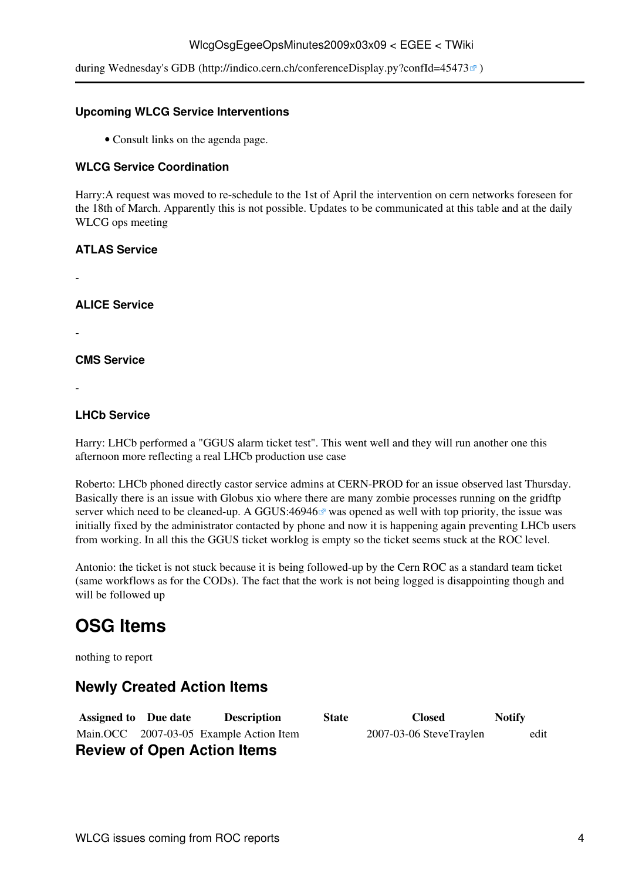#### WlcgOsgEgeeOpsMinutes2009x03x09 < EGEE < TWiki

during Wednesday's GDB (http://indico.cern.ch/conferenceDisplay.py?confId=45473 $\mathcal{B}$ )

#### <span id="page-4-0"></span>**Upcoming WLCG Service Interventions**

• Consult links on the agenda page.

#### <span id="page-4-1"></span>**WLCG Service Coordination**

Harry:A request was moved to re-schedule to the 1st of April the intervention on cern networks foreseen for the 18th of March. Apparently this is not possible. Updates to be communicated at this table and at the daily WLCG ops meeting

#### <span id="page-4-2"></span>**ATLAS Service**

-

<span id="page-4-3"></span>**ALICE Service**

-

<span id="page-4-4"></span>**CMS Service**

-

#### <span id="page-4-5"></span>**LHCb Service**

Harry: LHCb performed a "GGUS alarm ticket test". This went well and they will run another one this afternoon more reflecting a real LHCb production use case

Roberto: LHCb phoned directly castor service admins at CERN-PROD for an issue observed last Thursday. Basically there is an issue with Globus xio where there are many zombie processes running on the gridftp server which need to be cleaned-up. A GGUS:46946 $\sigma$  was opened as well with top priority, the issue was initially fixed by the administrator contacted by phone and now it is happening again preventing LHCb users from working. In all this the GGUS ticket worklog is empty so the ticket seems stuck at the ROC level.

Antonio: the ticket is not stuck because it is being followed-up by the Cern ROC as a standard team ticket (same workflows as for the CODs). The fact that the work is not being logged is disappointing though and will be followed up

## <span id="page-4-6"></span>**[OSG](https://twiki.cern.ch/twiki/bin/view/EGEE/OSG) Items**

nothing to report

### <span id="page-4-7"></span>**Newly Created Action Items**

<span id="page-4-8"></span>**Assigned to Due date Description** Main.OCC 2007-03-05 Example Action Item **Review of Open Action Items**

| <b>State</b> | <b>Closed</b>           | <b>Notify</b> |
|--------------|-------------------------|---------------|
|              | 2007-03-06 SteveTraylen | edit          |